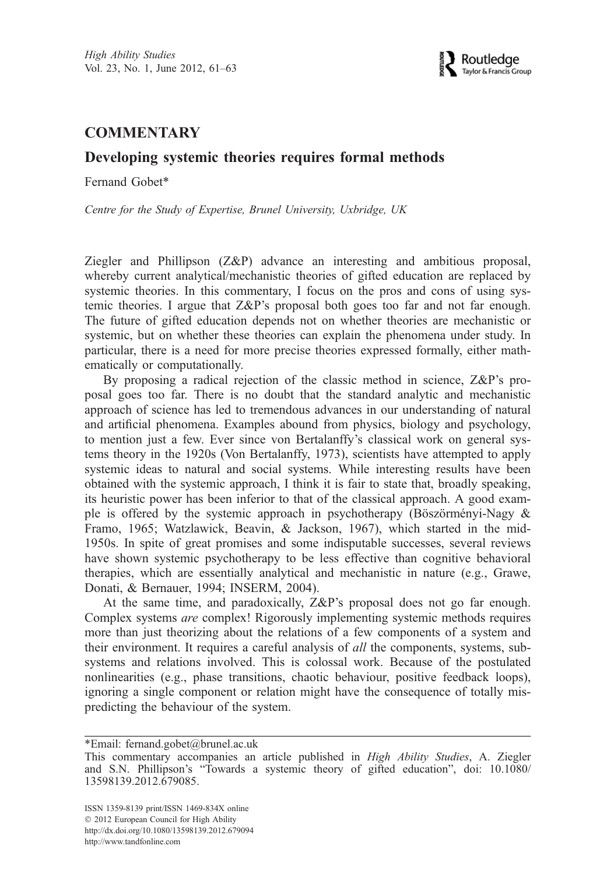## **COMMENTARY**

## Developing systemic theories requires formal methods

Fernand Gobet\*

Centre for the Study of Expertise, Brunel University, Uxbridge, UK

Ziegler and Phillipson (Z&P) advance an interesting and ambitious proposal, whereby current analytical/mechanistic theories of gifted education are replaced by systemic theories. In this commentary, I focus on the pros and cons of using systemic theories. I argue that Z&P's proposal both goes too far and not far enough. The future of gifted education depends not on whether theories are mechanistic or systemic, but on whether these theories can explain the phenomena under study. In particular, there is a need for more precise theories expressed formally, either mathematically or computationally.

By proposing a radical rejection of the classic method in science, Z&P's proposal goes too far. There is no doubt that the standard analytic and mechanistic approach of science has led to tremendous advances in our understanding of natural and artificial phenomena. Examples abound from physics, biology and psychology, to mention just a few. Ever since von Bertalanffy's classical work on general systems theory in the 1920s (Von Bertalanffy, 1973), scientists have attempted to apply systemic ideas to natural and social systems. While interesting results have been obtained with the systemic approach, I think it is fair to state that, broadly speaking, its heuristic power has been inferior to that of the classical approach. A good example is offered by the systemic approach in psychotherapy (Böszörményi-Nagy & Framo, 1965; Watzlawick, Beavin, & Jackson, 1967), which started in the mid-1950s. In spite of great promises and some indisputable successes, several reviews have shown systemic psychotherapy to be less effective than cognitive behavioral therapies, which are essentially analytical and mechanistic in nature (e.g., Grawe, Donati, & Bernauer, 1994; INSERM, 2004).

At the same time, and paradoxically, Z&P's proposal does not go far enough. Complex systems are complex! Rigorously implementing systemic methods requires more than just theorizing about the relations of a few components of a system and their environment. It requires a careful analysis of *all* the components, systems, subsystems and relations involved. This is colossal work. Because of the postulated nonlinearities (e.g., phase transitions, chaotic behaviour, positive feedback loops), ignoring a single component or relation might have the consequence of totally mispredicting the behaviour of the system.

\*Email: fernand.gobet@brunel.ac.uk

This commentary accompanies an article published in High Ability Studies, A. Ziegler and S.N. Phillipson's "Towards a systemic theory of gifted education", doi: 10.1080/ 13598139.2012.679085.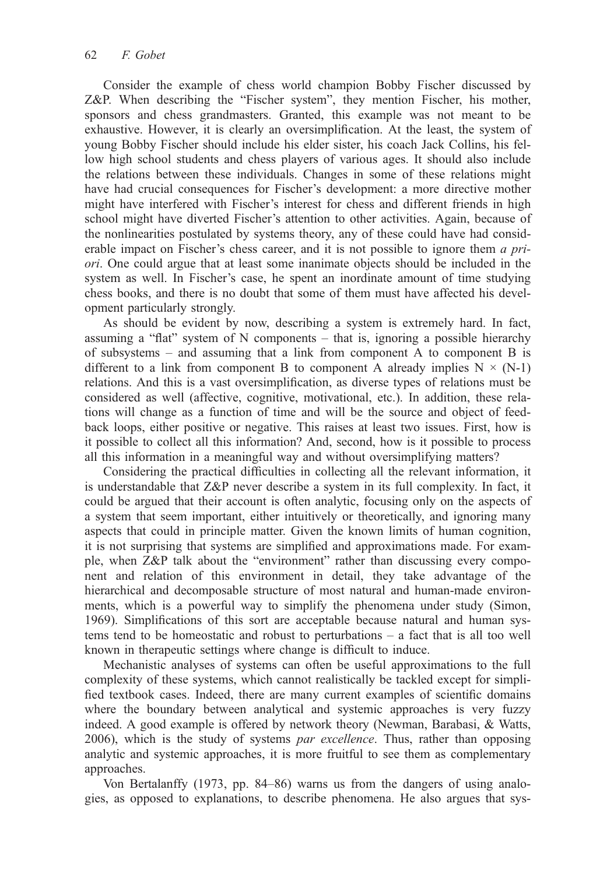Consider the example of chess world champion Bobby Fischer discussed by Z&P. When describing the "Fischer system", they mention Fischer, his mother, sponsors and chess grandmasters. Granted, this example was not meant to be exhaustive. However, it is clearly an oversimplification. At the least, the system of young Bobby Fischer should include his elder sister, his coach Jack Collins, his fellow high school students and chess players of various ages. It should also include the relations between these individuals. Changes in some of these relations might have had crucial consequences for Fischer's development: a more directive mother might have interfered with Fischer's interest for chess and different friends in high school might have diverted Fischer's attention to other activities. Again, because of the nonlinearities postulated by systems theory, any of these could have had considerable impact on Fischer's chess career, and it is not possible to ignore them  $\alpha$  priori. One could argue that at least some inanimate objects should be included in the system as well. In Fischer's case, he spent an inordinate amount of time studying chess books, and there is no doubt that some of them must have affected his development particularly strongly.

As should be evident by now, describing a system is extremely hard. In fact, assuming a "flat" system of N components – that is, ignoring a possible hierarchy of subsystems – and assuming that a link from component A to component B is different to a link from component B to component A already implies  $N \times (N-1)$ relations. And this is a vast oversimplification, as diverse types of relations must be considered as well (affective, cognitive, motivational, etc.). In addition, these relations will change as a function of time and will be the source and object of feedback loops, either positive or negative. This raises at least two issues. First, how is it possible to collect all this information? And, second, how is it possible to process all this information in a meaningful way and without oversimplifying matters?

Considering the practical difficulties in collecting all the relevant information, it is understandable that Z&P never describe a system in its full complexity. In fact, it could be argued that their account is often analytic, focusing only on the aspects of a system that seem important, either intuitively or theoretically, and ignoring many aspects that could in principle matter. Given the known limits of human cognition, it is not surprising that systems are simplified and approximations made. For example, when Z&P talk about the "environment" rather than discussing every component and relation of this environment in detail, they take advantage of the hierarchical and decomposable structure of most natural and human-made environments, which is a powerful way to simplify the phenomena under study (Simon, 1969). Simplifications of this sort are acceptable because natural and human systems tend to be homeostatic and robust to perturbations – a fact that is all too well known in therapeutic settings where change is difficult to induce.

Mechanistic analyses of systems can often be useful approximations to the full complexity of these systems, which cannot realistically be tackled except for simplified textbook cases. Indeed, there are many current examples of scientific domains where the boundary between analytical and systemic approaches is very fuzzy indeed. A good example is offered by network theory (Newman, Barabasi, & Watts, 2006), which is the study of systems *par excellence*. Thus, rather than opposing analytic and systemic approaches, it is more fruitful to see them as complementary approaches.

Von Bertalanffy (1973, pp. 84–86) warns us from the dangers of using analogies, as opposed to explanations, to describe phenomena. He also argues that sys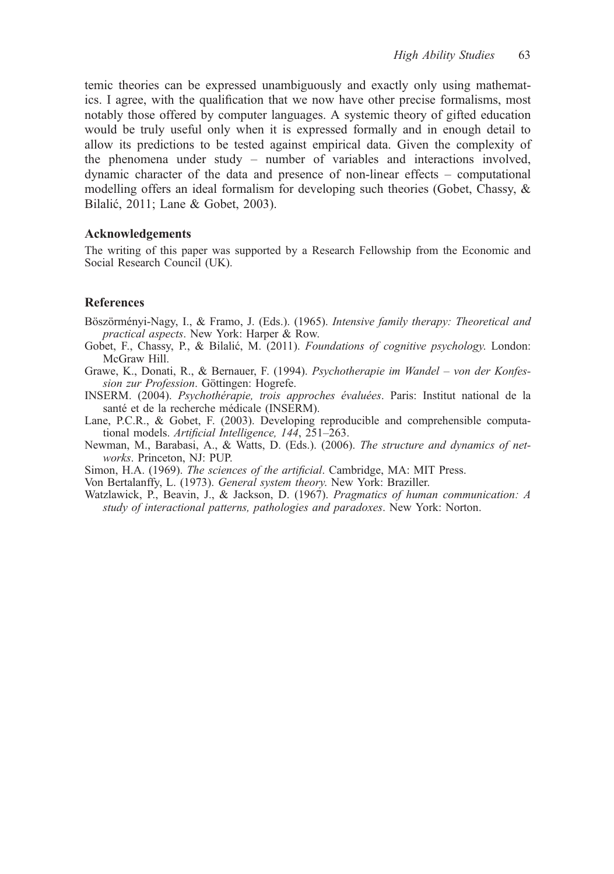temic theories can be expressed unambiguously and exactly only using mathematics. I agree, with the qualification that we now have other precise formalisms, most notably those offered by computer languages. A systemic theory of gifted education would be truly useful only when it is expressed formally and in enough detail to allow its predictions to be tested against empirical data. Given the complexity of the phenomena under study – number of variables and interactions involved, dynamic character of the data and presence of non-linear effects – computational modelling offers an ideal formalism for developing such theories (Gobet, Chassy, & Bilalić, 2011; Lane & Gobet, 2003).

## Acknowledgements

The writing of this paper was supported by a Research Fellowship from the Economic and Social Research Council (UK).

## **References**

- Böszörményi-Nagy, I., & Framo, J. (Eds.). (1965). Intensive family therapy: Theoretical and practical aspects. New York: Harper & Row.
- Gobet, F., Chassy, P., & Bilalić, M. (2011). Foundations of cognitive psychology. London: McGraw Hill.
- Grawe, K., Donati, R., & Bernauer, F. (1994). Psychotherapie im Wandel von der Konfession zur Profession. Göttingen: Hogrefe.
- INSERM. (2004). Psychothérapie, trois approches évaluées. Paris: Institut national de la santé et de la recherche médicale (INSERM).
- Lane, P.C.R., & Gobet, F. (2003). Developing reproducible and comprehensible computational models. Artificial Intelligence, 144, 251–263.
- Newman, M., Barabasi, A., & Watts, D. (Eds.). (2006). The structure and dynamics of networks. Princeton, NJ: PUP.

Simon, H.A. (1969). The sciences of the artificial. Cambridge, MA: MIT Press.

Von Bertalanffy, L. (1973). General system theory. New York: Braziller.

Watzlawick, P., Beavin, J., & Jackson, D. (1967). Pragmatics of human communication: A study of interactional patterns, pathologies and paradoxes. New York: Norton.